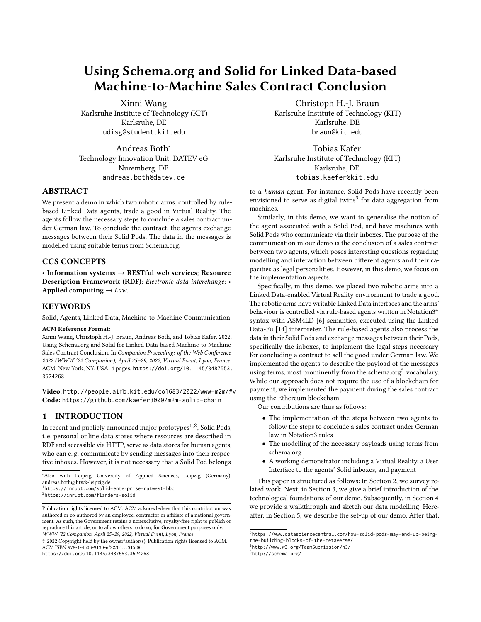# Using Schema.org and Solid for Linked Data-based Machine-to-Machine Sales Contract Conclusion

[Xinni Wang](https://orcid.org/0000-0001-5627-4439) Karlsruhe Institute of Technology (KIT) Karlsruhe, DE udisg@student.kit.edu

[Andreas Both](https://orcid.org/0000-0002-9177-5463)<sup>∗</sup> Technology Innovation Unit, DATEV eG Nuremberg, DE andreas.both@datev.de

#### ABSTRACT

We present a demo in which two robotic arms, controlled by rulebased Linked Data agents, trade a good in Virtual Reality. The agents follow the necessary steps to conclude a sales contract under German law. To conclude the contract, the agents exchange messages between their Solid Pods. The data in the messages is modelled using suitable terms from Schema.org.

## CCS CONCEPTS

• Information systems → RESTful web services; Resource Description Framework (RDF); Electronic data interchange; • Applied computing  $\rightarrow$  Law.

#### **KEYWORDS**

Solid, Agents, Linked Data, Machine-to-Machine Communication

#### ACM Reference Format:

Xinni Wang, Christoph H.-J. Braun, Andreas Both, and Tobias Käfer. 2022. Using Schema.org and Solid for Linked Data-based Machine-to-Machine Sales Contract Conclusion. In Companion Proceedings of the Web Conference 2022 (WWW '22 Companion), April 25–29, 2022, Virtual Event, Lyon, France. ACM, New York, NY, USA, [4](#page-3-0) pages. [https://doi.org/10.1145/3487553.](https://doi.org/10.1145/3487553.3524268) [3524268](https://doi.org/10.1145/3487553.3524268)

Video: <http://people.aifb.kit.edu/co1683/2022/www-m2m/#v> Code: <https://github.com/kaefer3000/m2m-solid-chain>

#### 1 INTRODUCTION

In recent and publicly announced major prototypes<sup>[1,](#page-0-0)[2](#page-0-1)</sup>, Solid Pods, i. e. personal online data stores where resources are described in RDF and accessible via HTTP, serve as data stores for human agents, who can e. g. communicate by sending messages into their respective inboxes. However, it is not necessary that a Solid Pod belongs

© 2022 Copyright held by the owner/author(s). Publication rights licensed to ACM. ACM ISBN 978-1-4503-9130-6/22/04. . . \$15.00 <https://doi.org/10.1145/3487553.3524268>

[Christoph H.-J. Braun](https://orcid.org/0000-0002-5843-0316) Karlsruhe Institute of Technology (KIT) Karlsruhe, DE braun@kit.edu

[Tobias Käfer](https://orcid.org/0000-0003-0576-7457) Karlsruhe Institute of Technology (KIT) Karlsruhe, DE tobias.kaefer@kit.edu

to a human agent. For instance, Solid Pods have recently been envisioned to serve as digital twins<sup>[3](#page-0-2)</sup> for data aggregation from machines.

Similarly, in this demo, we want to generalise the notion of the agent associated with a Solid Pod, and have machines with Solid Pods who communicate via their inboxes. The purpose of the communication in our demo is the conclusion of a sales contract between two agents, which poses interesting questions regarding modelling and interaction between different agents and their capacities as legal personalities. However, in this demo, we focus on the implementation aspects.

Specifically, in this demo, we placed two robotic arms into a Linked Data-enabled Virtual Reality environment to trade a good. The robotic arms have writable Linked Data interfaces and the arms' behaviour is controlled via rule-based agents written in Notation3[4](#page-0-3) syntax with ASM4LD [\[6\]](#page-3-1) semantics, executed using the Linked Data-Fu [\[14\]](#page-3-2) interpreter. The rule-based agents also process the data in their Solid Pods and exchange messages between their Pods, specifically the inboxes, to implement the legal steps necessary for concluding a contract to sell the good under German law. We implemented the agents to describe the payload of the messages using terms, most prominently from the schema.org<sup>[5](#page-0-4)</sup> vocabulary. While our approach does not require the use of a blockchain for payment, we implemented the payment during the sales contract using the Ethereum blockchain.

Our contributions are thus as follows:

- The implementation of the steps between two agents to follow the steps to conclude a sales contract under German law in Notation3 rules
- The modelling of the necessary payloads using terms from schema.org
- A working demonstrator including a Virtual Reality, a User Interface to the agents' Solid inboxes, and payment

This paper is structured as follows: In Section [2,](#page-1-0) we survey related work. Next, in Section [3,](#page-1-1) we give a brief introduction of the technological foundations of our demo. Subsequently, in Section [4](#page-1-2) we provide a walkthrough and sketch our data modelling. Hereafter, in Section [5,](#page-2-0) we describe the set-up of our demo. After that,

<span id="page-0-3"></span>4 <http://www.w3.org/TeamSubmission/n3/>

<span id="page-0-4"></span>5 <http://schema.org/>

<sup>∗</sup>Also with Leipzig University of Applied Sciences, Leipzig (Germany), andreas.both@htwk-leipzig.de

<span id="page-0-0"></span><sup>1</sup> <https://inrupt.com/solid-enterprise-natwest-bbc>

<span id="page-0-1"></span><sup>2</sup> <https://inrupt.com/flanders-solid>

Publication rights licensed to ACM. ACM acknowledges that this contribution was authored or co-authored by an employee, contractor or affiliate of a national government. As such, the Government retains a nonexclusive, royalty-free right to publish or reproduce this article, or to allow others to do so, for Government purposes only. WWW '22 Companion, April 25–29, 2022, Virtual Event, Lyon, France

<span id="page-0-2"></span><sup>3</sup> [https://www.datasciencecentral.com/how-solid-pods-may-end-up-being](https://www.datasciencecentral.com/how-solid-pods-may-end-up-being-the-building-blocks-of-the-metaverse/)[the-building-blocks-of-the-metaverse/](https://www.datasciencecentral.com/how-solid-pods-may-end-up-being-the-building-blocks-of-the-metaverse/)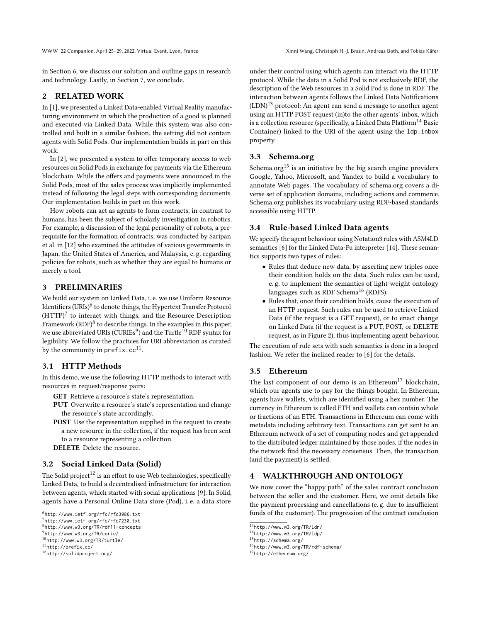WWW '22 Companion, April 25-29, 2022, Virtual Event, Lyon, France Xinni Wang, Christoph H.-J. Braun, Andreas Both, and Tobias Käfer

in Section [6,](#page-2-1) we discuss our solution and outline gaps in research and technology. Lastly, in Section [7,](#page-3-3) we conclude.

## <span id="page-1-0"></span>2 RELATED WORK

In [\[1\]](#page-3-4), we presented a Linked Data-enabled Virtual Reality manufacturing environment in which the production of a good is planned and executed via Linked Data. While this system was also controlled and built in a similar fashion, the setting did not contain agents with Solid Pods. Our implementation builds in part on this work.

In [\[2\]](#page-3-5), we presented a system to offer temporary access to web resources on Solid Pods in exchange for payments via the Ethereum blockchain. While the offers and payments were announced in the Solid Pods, most of the sales process was implicitly implemented instead of following the legal steps with corresponding documents. Our implementation builds in part on this work.

How robots can act as agents to form contracts, in contrast to humans, has been the subject of scholarly investigation in robotics. For example, a discussion of the legal personality of robots, a prerequisite for the formation of contracts, was conducted by Saripan et al. in [\[12\]](#page-3-6) who examined the attitudes of various governments in Japan, the United States of America, and Malaysia, e. g. regarding policies for robots, such as whether they are equal to humans or merely a tool.

## <span id="page-1-1"></span>3 PRELIMINARIES

We build our system on Linked Data, i. e. we use Uniform Resource Identifiers (URIs)<sup>[6](#page-1-3)</sup> to denote things, the Hypertext Transfer Protocol  $(HTTP)^7$  $(HTTP)^7$  to interact with things, and the Resource Description Framework  $(RDF)^8$  $(RDF)^8$  to describe things. In the examples in this paper, we use abbreviated URIs (CURIEs $^9$  $^9$ ) and the Turtle $^{10}$  $^{10}$  $^{10}$  RDF syntax for legibility. We follow the practices for URI abbreviation as curated by the community in prefix.cc $^{11}$  $^{11}$  $^{11}$ .

## 3.1 HTTP Methods

In this demo, we use the following HTTP methods to interact with resources in request/response pairs:

GET Retrieve a resource's state's representation.

- PUT Overwrite a resource's state's representation and change the resource's state accordingly.
- POST Use the representation supplied in the request to create a new resource in the collection, if the request has been sent to a resource representing a collection.
- DELETE Delete the resource.

## 3.2 Social Linked Data (Solid)

The Solid project<sup>[12](#page-1-9)</sup> is an effort to use Web technologies, specifically Linked Data, to build a decentralised infrastructure for interaction between agents, which started with social applications [\[9\]](#page-3-7). In Solid, agents have a Personal Online Data store (Pod), i. e. a data store

under their control using which agents can interact via the HTTP protocol. While the data in a Solid Pod is not exclusively RDF, the description of the Web resources in a Solid Pod is done in RDF. The interaction between agents follows the Linked Data Notifications  $(LDN)^{13}$  $(LDN)^{13}$  $(LDN)^{13}$  protocol: An agent can send a message to another agent using an HTTP POST request (in)to the other agents' inbox, which is a collection resource (specifically, a Linked Data Platform<sup>[14](#page-1-11)</sup> Basic Container) linked to the URI of the agent using the ldp:inbox property.

## 3.3 Schema.org

Schema.org<sup>[15](#page-1-12)</sup> is an initiative by the big search engine providers Google, Yahoo, Microsoft, and Yandex to build a vocabulary to annotate Web pages. The vocabulary of schema.org covers a diverse set of application domains, including actions and commerce. Schema.org publishes its vocabulary using RDF-based standards accessible using HTTP.

## 3.4 Rule-based Linked Data agents

We specify the agent behaviour using Notation3 rules with ASM4LD semantics [\[6\]](#page-3-1) for the Linked Data-Fu interpreter [\[14\]](#page-3-2). These semantics supports two types of rules:

- Rules that deduce new data, by asserting new triples once their condition holds on the data. Such rules can be used, e. g. to implement the semantics of light-weight ontology languages such as RDF Schema<sup>[16](#page-1-13)</sup> (RDFS).
- Rules that, once their condition holds, cause the execution of an HTTP request. Such rules can be used to retrieve Linked Data (if the request is a GET request), or to enact change on Linked Data (if the request is a PUT, POST, or DELETE request, as in Figure [2\)](#page-2-2), thus implementing agent behaviour.

The execution of rule sets with such semantics is done in a looped fashion. We refer the inclined reader to [\[6\]](#page-3-1) for the details.

## 3.5 Ethereum

The last component of our demo is an Ethereum<sup>[17](#page-1-14)</sup> blockchain, which our agents use to pay for the things bought. In Ethereum, agents have wallets, which are identified using a hex number. The currency in Ethereum is called ETH and wallets can contain whole or fractions of an ETH. Transactions in Ethereum can come with metadata including arbitrary text. Transactions can get sent to an Ethereum network of a set of computing nodes and get appended to the distributed ledger maintained by those nodes, if the nodes in the network find the necessary consensus. Then, the transaction (and the payment) is settled.

## <span id="page-1-2"></span>4 WALKTHROUGH AND ONTOLOGY

We now cover the "happy path" of the sales contract conclusion between the seller and the customer. Here, we omit details like the payment processing and cancellations (e. g. due to insufficient funds of the customer). The progression of the contract conclusion

<span id="page-1-3"></span><sup>6</sup> <http://www.ietf.org/rfc/rfc3986.txt>

<span id="page-1-4"></span><sup>7</sup> <http://www.ietf.org/rfc/rfc7230.txt>

<span id="page-1-5"></span><sup>8</sup> <http://www.w3.org/TR/rdf11-concepts>

<span id="page-1-6"></span><sup>9</sup> <http://www.w3.org/TR/curie/>

<span id="page-1-7"></span><sup>10</sup><http://www.w3.org/TR/turtle/>

<span id="page-1-8"></span><sup>11</sup><http://prefix.cc/>

<span id="page-1-9"></span><sup>12</sup><http://solidproject.org/>

<span id="page-1-10"></span><sup>13</sup><http://www.w3.org/TR/ldn/>

<span id="page-1-11"></span><sup>14</sup><http://www.w3.org/TR/ldp/>

<span id="page-1-12"></span><sup>15</sup><http://schema.org/>

<span id="page-1-13"></span><sup>16</sup><http://www.w3.org/TR/rdf-schema/>

<span id="page-1-14"></span><sup>17</sup><http://ethereum.org/>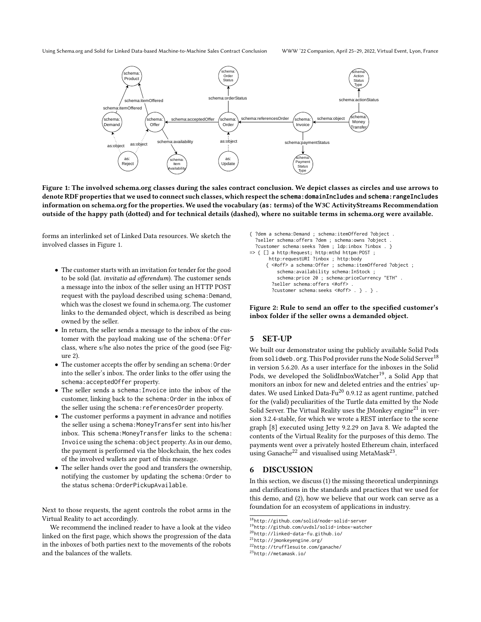<span id="page-2-3"></span>

Figure 1: The involved schema.org classes during the sales contract conclusion. We depict classes as circles and use arrows to denote RDF properties that we used to connect such classes, which respect the **[schema:domainIncludes](http://schema.org/domainIncludes)** and **[schema:rangeIncludes](http://schema.org/rangeIncludes)** information on schema.org for the properties. We used the vocabulary (**[as:](http://www.w3.org/ns/activitystreams)** terms) of the W3C ActivityStreams Recommendation outside of the happy path (dotted) and for technical details (dashed), where no suitable terms in schema.org were available.

forms an interlinked set of Linked Data resources. We sketch the involved classes in Figure [1.](#page-2-3)

- The customer starts with an invitation for tender for the good to be sold (lat. invitatio ad offerendum). The customer sends a message into the inbox of the seller using an HTTP POST request with the payload described using schema: Demand, which was the closest we found in schema.org. The customer links to the demanded object, which is described as being owned by the seller.
- In return, the seller sends a message to the inbox of the customer with the payload making use of the schema: Offer class, where s/he also notes the price of the good (see Figure [2\)](#page-2-2).
- The customer accepts the offer by sending an schema: Order into the seller's inbox. The order links to the offer using the [schema:acceptedOffer](http://schema.org/acceptedOffer) property.
- The seller sends a [schema:Invoice](http://schema.org/Invoice) into the inbox of the customer, linking back to the [schema:Order](http://schema.org/Order) in the inbox of the seller using the schema: referencesOrder property.
- The customer performs a payment in advance and notifies the seller using a [schema:MoneyTransfer](http://schema.org/MoneyTransfer) sent into his/her inbox. This [schema:MoneyTransfer](http://schema.org/MoneyTransfer) links to the [schema:](http://schema.org/Invoice) [Invoice](http://schema.org/Invoice) using the [schema:object](http://schema.org/object) property. As in our demo, the payment is performed via the blockchain, the hex codes of the involved wallets are part of this message.
- The seller hands over the good and transfers the ownership, notifying the customer by updating the [schema:Order](http://schema.org/Order) to the status [schema:OrderPickupAvailable](http://schema.org/OrderPickupAvailable).

Next to those requests, the agent controls the robot arms in the Virtual Reality to act accordingly.

We recommend the inclined reader to have a look at the video linked on the first page, which shows the progression of the data in the inboxes of both parties next to the movements of the robots and the balances of the wallets.

```
{ ?dem a schema:Demand ; schema:itemOffered ?object .
  ?seller schema:offers ?dem ; schema:owns ?object .
  ?customer schema:seeks ?dem ; ldp:inbox ?inbox . }
=> { [] a http:Request; http:mthd httpm:POST ;
       http:requestURI ?inbox ; http:body
      { <#off> a schema:Offer ; schema:itemOffered ?object ;
          schema:availability schema:InStock ;
          schema:price 20 ; schema:priceCurrency "ETH" .
        ?seller schema:offers <#off> .
        ?customer schema:seeks <#off> . } . } .
```
Figure 2: Rule to send an offer to the specified customer's inbox folder if the seller owns a demanded object.

#### <span id="page-2-0"></span>5 SET-UP

We built our demonstrator using the publicly available Solid Pods from [solidweb.org](http://solidweb.org/). This Pod provider runs the Node Solid Server<sup>[18](#page-2-4)</sup> in version 5.6.20. As a user interface for the inboxes in the Solid Pods, we developed the SolidInboxWatcher<sup>[19](#page-2-5)</sup>, a Solid App that monitors an inbox for new and deleted entries and the entries' up-dates. We used Linked Data-Fu<sup>[20](#page-2-6)</sup> 0.9.12 as agent runtime, patched for the (valid) peculiarities of the Turtle data emitted by the Node Solid Server. The Virtual Reality uses the JMonkey engine<sup>[21](#page-2-7)</sup> in version 3.2.4-stable, for which we wrote a REST interface to the scene graph [\[8\]](#page-3-8) executed using Jetty 9.2.29 on Java 8. We adapted the contents of the Virtual Reality for the purposes of this demo. The payments went over a privately hosted Ethereum chain, interfaced using Ganache $^{22}$  $^{22}$  $^{22}$  and visualised using MetaMask $^{23}$  $^{23}$  $^{23}$ .

#### <span id="page-2-1"></span>6 DISCUSSION

In this section, we discuss (1) the missing theoretical underpinnings and clarifications in the standards and practices that we used for this demo, and (2), how we believe that our work can serve as a foundation for an ecosystem of applications in industry.

<span id="page-2-6"></span><sup>20</sup><http://linked-data-fu.github.io/>

<span id="page-2-7"></span><sup>21</sup><http://jmonkeyengine.org/>

<span id="page-2-8"></span><sup>22</sup><http://trufflesuite.com/ganache/>

<span id="page-2-9"></span><sup>23</sup><http://metamask.io/>

<span id="page-2-5"></span><span id="page-2-4"></span><sup>18</sup><http://github.com/solid/node-solid-server>

<sup>19</sup><http://github.com/uvdsl/solid-inbox-watcher>